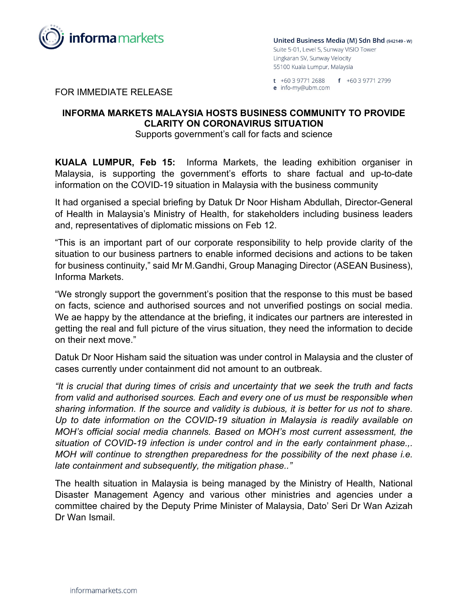

United Business Media (M) Sdn Bhd (942149 - W) Suite 5-01, Level 5, Sunway VISIO Tower Lingkaran SV, Sunway Velocity 55100 Kuala Lumpur, Malaysia

t +60 3 9771 2688 f +60 3 9771 2799 e info-my@ubm.com

FOR IMMEDIATE RELEASE

## **INFORMA MARKETS MALAYSIA HOSTS BUSINESS COMMUNITY TO PROVIDE CLARITY ON CORONAVIRUS SITUATION**

Supports government's call for facts and science

**KUALA LUMPUR, Feb 15:** Informa Markets, the leading exhibition organiser in Malaysia, is supporting the government's efforts to share factual and up-to-date information on the COVID-19 situation in Malaysia with the business community

It had organised a special briefing by Datuk Dr Noor Hisham Abdullah, Director-General of Health in Malaysia's Ministry of Health, for stakeholders including business leaders and, representatives of diplomatic missions on Feb 12.

"This is an important part of our corporate responsibility to help provide clarity of the situation to our business partners to enable informed decisions and actions to be taken for business continuity," said Mr M.Gandhi, Group Managing Director (ASEAN Business), Informa Markets.

"We strongly support the government's position that the response to this must be based on facts, science and authorised sources and not unverified postings on social media. We ae happy by the attendance at the briefing, it indicates our partners are interested in getting the real and full picture of the virus situation, they need the information to decide on their next move."

Datuk Dr Noor Hisham said the situation was under control in Malaysia and the cluster of cases currently under containment did not amount to an outbreak.

*"It is crucial that during times of crisis and uncertainty that we seek the truth and facts from valid and authorised sources. Each and every one of us must be responsible when sharing information. If the source and validity is dubious, it is better for us not to share. Up to date information on the COVID-19 situation in Malaysia is readily available on MOH's official social media channels. Based on MOH's most current assessment, the situation of COVID-19 infection is under control and in the early containment phase.,. MOH will continue to strengthen preparedness for the possibility of the next phase i.e. late containment and subsequently, the mitigation phase.."*

The health situation in Malaysia is being managed by the Ministry of Health, National Disaster Management Agency and various other ministries and agencies under a committee chaired by the Deputy Prime Minister of Malaysia, Dato' Seri Dr Wan Azizah Dr Wan Ismail.